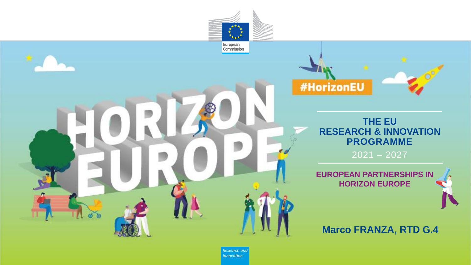



#### **THE EU RESEARCH & INNOVATION PROGRAMME**

2021 – 2027

**EUROPEAN PARTNERSHIPS IN HORIZON EUROPE** 

#### **Marco FRANZA, RTD G.4**

*Research and Innovation*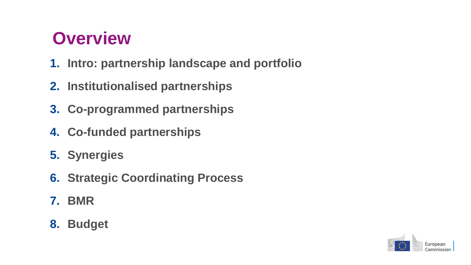### **Overview**

- **1. Intro: partnership landscape and portfolio**
- **2. Institutionalised partnerships**
- **3. Co-programmed partnerships**
- **4. Co-funded partnerships**
- **5. Synergies**
- **6. Strategic Coordinating Process**
- **7. BMR**
- **8. Budget**

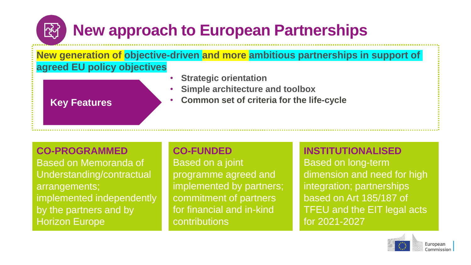### **New approach to European Partnerships**

**New generation of objective-driven and more ambitious partnerships in support of agreed EU policy objectives**

- **Strategic orientation**
- **Simple architecture and toolbox**

#### **Key Features**

<u>स्</u>पि

• **Common set of criteria for the life-cycle**

#### **CO-PROGRAMMED**

Based on Memoranda of Understanding/contractual arrangements; implemented independently by the partners and by Horizon Europe

#### **CO-FUNDED**

Based on a joint programme agreed and implemented by partners; commitment of partners for financial and in-kind contributions

#### **INSTITUTIONALISED**

Based on long-term dimension and need for high integration; partnerships based on Art 185/187 of TFEU and the EIT legal acts for 2021-2027

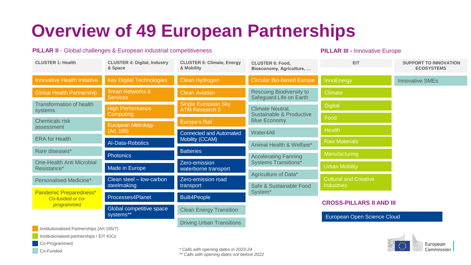## **Overview of 49 European Partnerships**

#### **PILLAR II** - Global challenges & European industrial competitiveness

**PILLAR III -** Innovative Europe

| <b>CLUSTER 1: Health</b>                                                                                                   | <b>CLUSTER 4: Digital, Industry</b><br>& Space                          | <b>CLUSTER 5: Climate, Energy</b><br>& Mobility     | <b>CLUSTER 6: Food,</b><br>Bioeconomy, Agriculture,        | <b>EIT</b>                      | <b>SUPPORT TO INNOVATION</b><br><b>ECOSYSTEMS</b> |
|----------------------------------------------------------------------------------------------------------------------------|-------------------------------------------------------------------------|-----------------------------------------------------|------------------------------------------------------------|---------------------------------|---------------------------------------------------|
| Innovative Health Initiative                                                                                               | <b>Key Digital Technologies</b>                                         | Clean Hydrogen                                      | <b>Circular Bio-based Europe</b>                           | InnoEnergy                      | <b>Innovative SMEs</b>                            |
| <b>Global Health Partnership</b>                                                                                           | <b>Smart Networks &amp;</b><br>Services                                 | <b>Clean Aviation</b>                               | <b>Rescuing Biodiversity to</b><br>Safeguard Life on Earth | <b>Climate</b>                  |                                                   |
| <b>Transformation of health</b><br>systems                                                                                 | <b>High Performance</b>                                                 | <b>Single European Sky</b><br><b>ATM Research 3</b> | Climate Neutral,                                           | <b>Digital</b>                  |                                                   |
| <b>Chemicals risk</b>                                                                                                      | Computing                                                               | <b>Europe's Rail</b>                                | Sustainable & Productive<br><b>Blue Economy</b>            | Food                            |                                                   |
| assessment                                                                                                                 | <b>European Metrology</b><br>(Art. 185)                                 | <b>Connected and Automated</b>                      | Water4All                                                  | <b>Health</b>                   |                                                   |
| <b>ERA</b> for Health                                                                                                      | Al-Data-Robotics                                                        | Mobility (CCAM)                                     | Animal Health & Welfare*                                   | <b>Raw Materials</b>            |                                                   |
| Rare diseases*                                                                                                             | <b>Photonics</b>                                                        | <b>Batteries</b>                                    | <b>Accelerating Farming</b>                                | Manufacturing                   |                                                   |
| <b>One-Health Anti Microbial</b><br>Resistance*                                                                            | Made in Europe                                                          | Zero-emission<br>waterborne transport               | <b>Systems Transitions*</b>                                | <b>Urban Mobility</b>           |                                                   |
| Personalised Medicine*                                                                                                     | Clean steel - low-carbon                                                | Zero-emission road                                  | Agriculture of Data*                                       | <b>Cultural and Creative</b>    |                                                   |
| <b>Pandemic Preparedness*</b><br>Co-funded or co-                                                                          | steelmaking<br>Processes4Planet                                         | transport<br><b>Built4People</b>                    | Safe & Sustainable Food<br>System <sup>*</sup>             | <b>Industries</b>               |                                                   |
| programmed                                                                                                                 | Global competitive space<br><b>Clean Energy Transition</b><br>systems** |                                                     |                                                            | <b>CROSS-PILLARS II AND III</b> |                                                   |
| <u>and</u> the contract of the contract of the contract of the contract of the contract of the contract of the contract of |                                                                         | <b>Driving Urban Transitions</b>                    | European Open Science Cloud                                |                                 |                                                   |



Institutionaised partnerships / EIT KICs

Co-Programmed

Co-Funded

*\* Calls with opening dates in 2023-24*

*\*\* Calls with opening dates not before 2022*

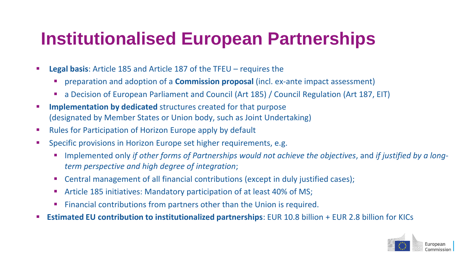### **Institutionalised European Partnerships**

- **Legal basis:** Article 185 and Article 187 of the TFEU requires the
	- preparation and adoption of a **Commission proposal** (incl. ex-ante impact assessment)
	- a Decision of European Parliament and Council (Art 185) / Council Regulation (Art 187, EIT)
- **EXTERN Implementation by dedicated** structures created for that purpose (designated by Member States or Union body, such as Joint Undertaking)
- Rules for Participation of Horizon Europe apply by default
- Specific provisions in Horizon Europe set higher requirements, e.g.
	- Implemented only *if other forms of Partnerships would not achieve the objectives*, and *if justified by a longterm perspective and high degree of integration*;
	- Central management of all financial contributions (except in duly justified cases);
	- Article 185 initiatives: Mandatory participation of at least 40% of MS;
	- Financial contributions from partners other than the Union is required.
- **Estimated EU contribution to institutionalized partnerships:** EUR 10.8 billion + EUR 2.8 billion for KICs

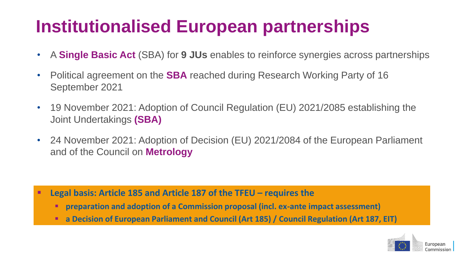## **Institutionalised European partnerships**

- A **Single Basic Act** (SBA) for **9 JUs** enables to reinforce synergies across partnerships
- Political agreement on the **SBA** reached during Research Working Party of 16 September 2021
- 19 November 2021: Adoption of Council Regulation (EU) 2021/2085 establishing the Joint Undertakings **(SBA)**
- 24 November 2021: Adoption of Decision (EU) 2021/2084 of the European Parliament and of the Council on **Metrology**

- **Legal basis: Article 185 and Article 187 of the TFEU – requires the** 
	- **preparation and adoption of a Commission proposal (incl. ex-ante impact assessment)**
	- **a Decision of European Parliament and Council (Art 185) / Council Regulation (Art 187, EIT)**

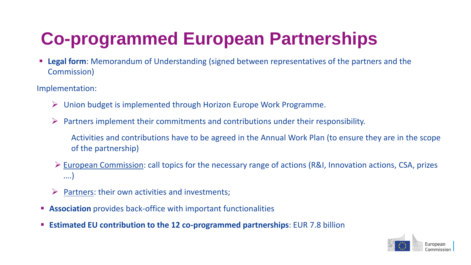## **Co-programmed European Partnerships**

**Example 10 Feral form:** Memorandum of Understanding (signed between representatives of the partners and the Commission)

Implementation:

- ➢ Union budget is implemented through Horizon Europe Work Programme.
- ➢ Partners implement their commitments and contributions under their responsibility.
	- Activities and contributions have to be agreed in the Annual Work Plan (to ensure they are in the scope of the partnership)
- ➢ European Commission: call topics for the necessary range of actions (R&I, Innovation actions, CSA, prizes ….)
- Partners: their own activities and investments;
- **EXECT** Association provides back-office with important functionalities
- **Estimated EU contribution to the 12 co-programmed partnerships**: EUR 7.8 billion

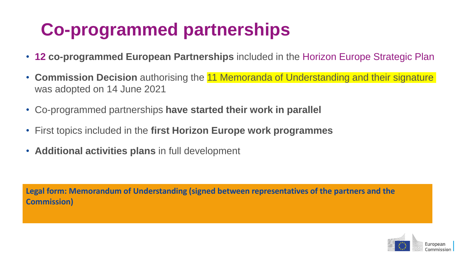### **Co-programmed partnerships**

- **12 co-programmed European Partnerships** included in the Horizon Europe Strategic Plan
- **Commission Decision** authorising the 11 Memoranda of Understanding and their signature was adopted on 14 June 2021
- Co-programmed partnerships **have started their work in parallel**
- First topics included in the **first Horizon Europe work programmes**
- **Additional activities plans** in full development

**Legal form: Memorandum of Understanding (signed between representatives of the partners and the Commission)**

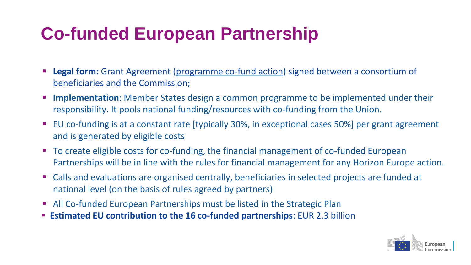## **Co-funded European Partnership**

- **Legal form:** Grant Agreement (programme co-fund action) signed between a consortium of beneficiaries and the Commission;
- **Implementation**: Member States design a common programme to be implemented under their responsibility. It pools national funding/resources with co-funding from the Union.
- EU co-funding is at a constant rate [typically 30%, in exceptional cases 50%] per grant agreement and is generated by eligible costs
- To create eligible costs for co-funding, the financial management of co-funded European Partnerships will be in line with the rules for financial management for any Horizon Europe action.
- Calls and evaluations are organised centrally, beneficiaries in selected projects are funded at national level (on the basis of rules agreed by partners)
- **E** All Co-funded European Partnerships must be listed in the Strategic Plan
- **Estimated EU contribution to the 16 co-funded partnerships**: EUR 2.3 billion

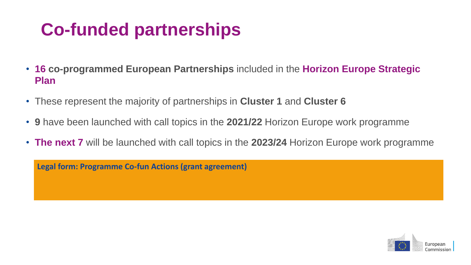## **Co-funded partnerships**

- **16 co-programmed European Partnerships** included in the **Horizon Europe Strategic Plan**
- These represent the majority of partnerships in **Cluster 1** and **Cluster 6**
- **9** have been launched with call topics in the **2021/22** Horizon Europe work programme
- **The next 7** will be launched with call topics in the **2023/24** Horizon Europe work programme

**Legal form: Programme Co-fun Actions (grant agreement)**

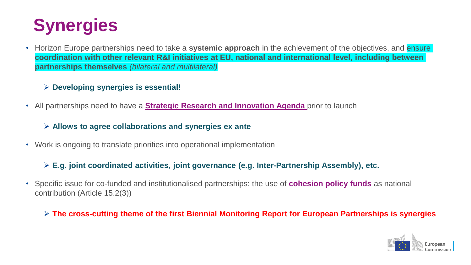

• Horizon Europe partnerships need to take a **systemic approach** in the achievement of the objectives, and ensure **coordination with other relevant R&I initiatives at EU, national and international level, including between partnerships themselves** *(bilateral and multilateral)*

#### ➢ **Developing synergies is essential!**

• All partnerships need to have a **Strategic Research and Innovation Agenda** prior to launch

➢ **Allows to agree collaborations and synergies ex ante**

• Work is ongoing to translate priorities into operational implementation

#### ➢ **E.g. joint coordinated activities, joint governance (e.g. Inter-Partnership Assembly), etc.**

- Specific issue for co-funded and institutionalised partnerships: the use of **cohesion policy funds** as national contribution (Article 15.2(3))
	- ➢ **The cross-cutting theme of the first Biennial Monitoring Report for European Partnerships is synergies**

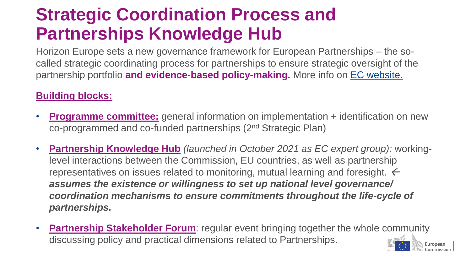### **Strategic Coordination Process and Partnerships Knowledge Hub**

Horizon Europe sets a new governance framework for European Partnerships – the socalled strategic coordinating process for partnerships to ensure strategic oversight of the partnership portfolio **and evidence-based policy-making.** More info on [EC website.](https://ec.europa.eu/info/research-and-innovation/funding/funding-opportunities/funding-programmes-and-open-calls/horizon-europe/european-partnerships-horizon-europe_en)

#### **Building blocks:**

- **Programme committee:** general information on implementation + identification on new co-programmed and co-funded partnerships (2nd Strategic Plan)
- **Partnership Knowledge Hub** *(launched in October 2021 as EC expert group):* workinglevel interactions between the Commission, EU countries, as well as partnership representatives on issues related to monitoring, mutual learning and foresight.  $\leftarrow$ *assumes the existence or willingness to set up national level governance/ coordination mechanisms to ensure commitments throughout the life-cycle of partnerships.*
- **Partnership Stakeholder Forum:** regular event bringing together the whole community discussing policy and practical dimensions related to Partnerships. European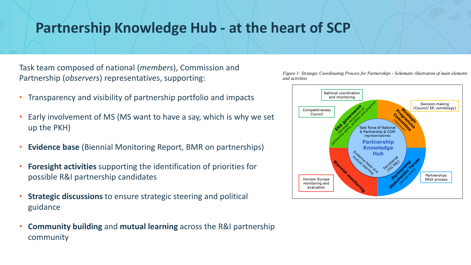#### **Partnership Knowledge Hub - at the heart of SCP**

Task team composed of national (*members*), Commission and Partnership (*observers*) representatives, supporting:

- Transparency and visibility of partnership portfolio and impacts
- Early involvement of MS (MS want to have a say, which is why we set up the PKH)
- **Evidence base** (Biennial Monitoring Report, BMR on partnerships)
- **Foresight activities** supporting the identification of priorities for possible R&I partnership candidates
- **Strategic discussions** to ensure strategic steering and political guidance
- **Community building** and **mutual learning** across the R&I partnership community



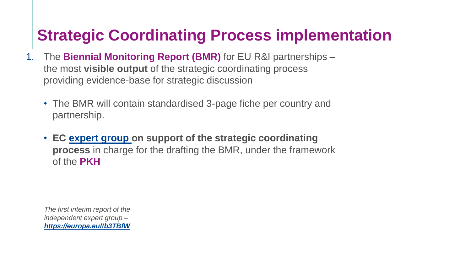### **Strategic Coordinating Process implementation**

- 1. The **Biennial Monitoring Report (BMR)** for EU R&I partnerships the most **visible output** of the strategic coordinating process providing evidence-base for strategic discussion
	- The BMR will contain standardised 3-page fiche per country and partnership.
	- **EC [expert group](https://ec.europa.eu/transparency/expert-groups-register/screen/expert-groups/consult?do=groupDetail.groupDetail&groupID=3738&news=1) on support of the strategic coordinating process** in charge for the drafting the BMR, under the framework of the **PKH**

*The first interim report of the independent expert group – <https://europa.eu/!b3TBfW>*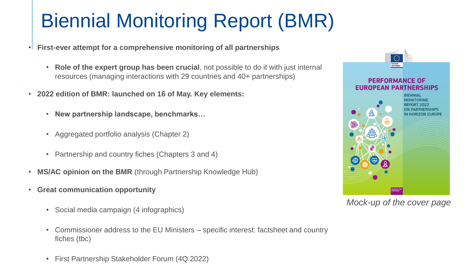## Biennial Monitoring Report (BMR)

- **First-ever attempt for a comprehensive monitoring of all partnerships**
	- **Role of the expert group has been crucial**, not possible to do it with just internal resources (managing interactions with 29 countries and 40+ partnerships)
- **2022 edition of BMR: launched on 16 of May. Key elements:**
	- **New partnership landscape, benchmarks…**
	- Aggregated portfolio analysis (Chapter 2)
	- Partnership and country fiches (Chapters 3 and 4)
- **MS/AC opinion on the BMR** (through Partnership Knowledge Hub)
- **Great communication opportunity**
	- Social media campaign (4 infographics)
	- Commissioner address to the EU Ministers specific interest: factsheet and country fiches (tbc)
	- First Partnership Stakeholder Forum (4Q 2022)



*Mock-up of the cover page*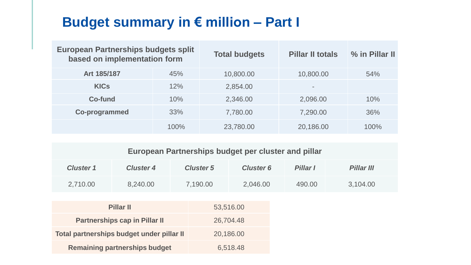#### **Budget summary in € million – Part I**

| <b>European Partnerships budgets split</b><br>based on implementation form |      | <b>Total budgets</b> | <b>Pillar II totals</b>  | % in Pillar II |
|----------------------------------------------------------------------------|------|----------------------|--------------------------|----------------|
| Art 185/187                                                                | 45%  | 10,800.00            | 10,800.00                | 54%            |
| <b>KICs</b>                                                                | 12%  | 2,854.00             | $\overline{\phantom{a}}$ |                |
| Co-fund                                                                    | 10%  | 2,346.00             | 2,096.00                 | 10%            |
| <b>Co-programmed</b>                                                       | 33%  | 7,780.00             | 7,290.00                 | 36%            |
|                                                                            | 100% | 23,780.00            | 20,186.00                | 100%           |

| <b>European Partnerships budget per cluster and pillar</b> |  |  |
|------------------------------------------------------------|--|--|
|                                                            |  |  |

| <b>Cluster 1</b>                          | <b>Cluster 4</b>                     | <b>Cluster 5</b> | <b>Cluster 6</b> | <b>Pillar I</b> | Pillar III |
|-------------------------------------------|--------------------------------------|------------------|------------------|-----------------|------------|
| 2,710.00                                  | 8,240.00                             | 7,190.00         | 2,046.00         | 490.00          | 3,104.00   |
|                                           |                                      |                  |                  |                 |            |
| <b>Pillar II</b>                          |                                      |                  | 53,516.00        |                 |            |
|                                           | <b>Partnerships cap in Pillar II</b> |                  | 26,704.48        |                 |            |
| Total partnerships budget under pillar II |                                      |                  | 20,186.00        |                 |            |
| <b>Remaining partnerships budget</b>      |                                      |                  | 6,518.48         |                 |            |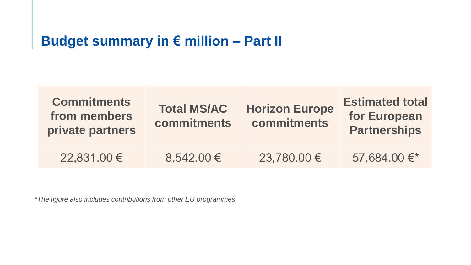#### **Budget summary in € million – Part II**

| <b>Commitments</b><br>from members<br>private partners | <b>Total MS/AC</b><br><b>commitments</b> |             | <b>Estimated total</b><br>for European<br><b>Partnerships</b> |
|--------------------------------------------------------|------------------------------------------|-------------|---------------------------------------------------------------|
| 22,831.00 €                                            | $8,542.00 \in$                           | 23,780.00 € | 57,684.00€*                                                   |

*\*The figure also includes contributions from other EU programmes*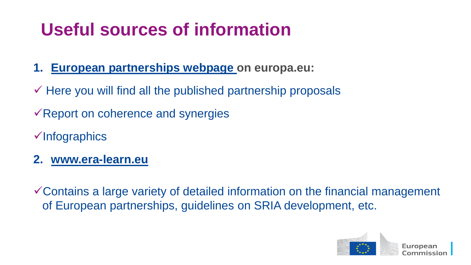## **Useful sources of information**

- **1. [European partnerships webpage o](https://ec.europa.eu/info/horizon-europe-next-research-and-innovation-framework-programme/european-partnerships-horizon-europe_en)n europa.eu:**
- $\checkmark$  Here you will find all the published partnership proposals
- $\sqrt{2}$  Report on coherence and synergies
- ✓Infographics
- **2. [www.era-learn.eu](http://www.era-learn.eu/)**
- ✓Contains a large variety of detailed information on the financial management of European partnerships, guidelines on SRIA development, etc.